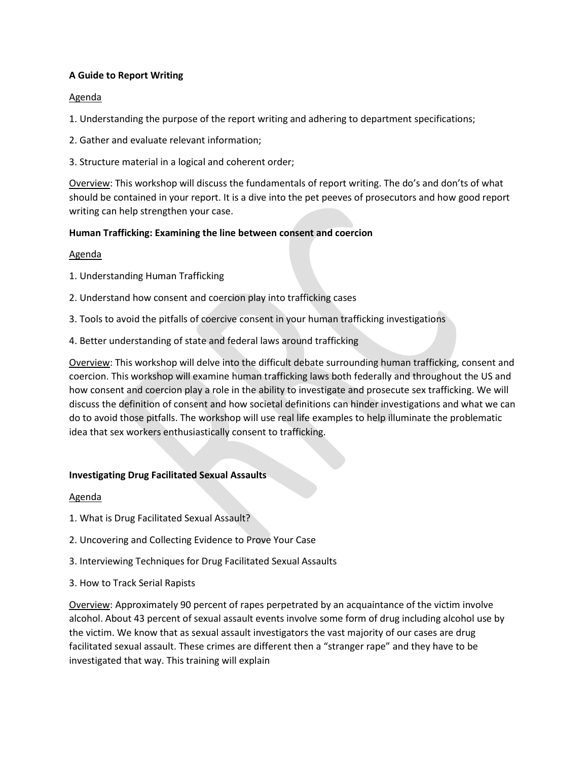# **A Guide to Report Writing**

# Agenda

1. Understanding the purpose of the report writing and adhering to department specifications;

- 2. Gather and evaluate relevant information;
- 3. Structure material in a logical and coherent order;

Overview: This workshop will discuss the fundamentals of report writing. The do's and don'ts of what should be contained in your report. It is a dive into the pet peeves of prosecutors and how good report writing can help strengthen your case.

# **Human Trafficking: Examining the line between consent and coercion**

### Agenda

- 1. Understanding Human Trafficking
- 2. Understand how consent and coercion play into trafficking cases
- 3. Tools to avoid the pitfalls of coercive consent in your human trafficking investigations
- 4. Better understanding of state and federal laws around trafficking

Overview: This workshop will delve into the difficult debate surrounding human trafficking, consent and coercion. This workshop will examine human trafficking laws both federally and throughout the US and how consent and coercion play a role in the ability to investigate and prosecute sex trafficking. We will discuss the definition of consent and how societal definitions can hinder investigations and what we can do to avoid those pitfalls. The workshop will use real life examples to help illuminate the problematic idea that sex workers enthusiastically consent to trafficking.

### **Investigating Drug Facilitated Sexual Assaults**

### Agenda

- 1. What is Drug Facilitated Sexual Assault?
- 2. Uncovering and Collecting Evidence to Prove Your Case
- 3. Interviewing Techniques for Drug Facilitated Sexual Assaults
- 3. How to Track Serial Rapists

Overview: Approximately 90 percent of rapes perpetrated by an acquaintance of the victim involve alcohol. About 43 percent of sexual assault events involve some form of drug including alcohol use by the victim. We know that as sexual assault investigators the vast majority of our cases are drug facilitated sexual assault. These crimes are different then a "stranger rape" and they have to be investigated that way. This training will explain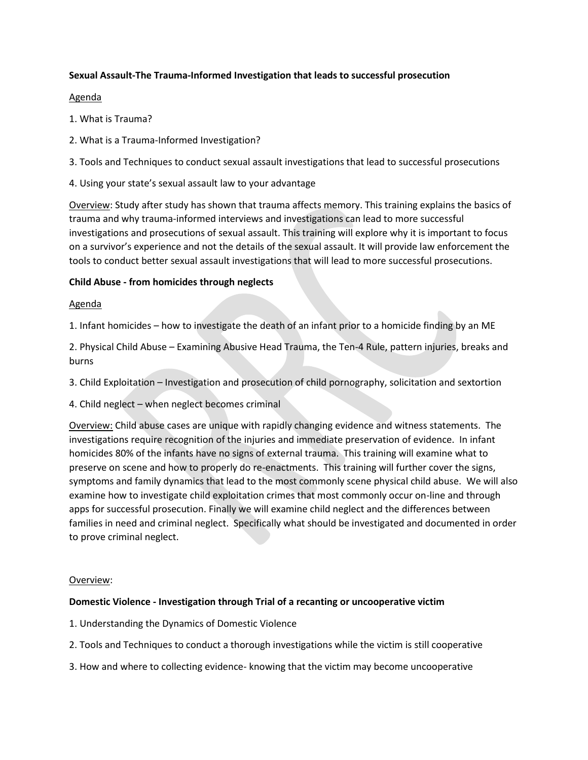# **Sexual Assault-The Trauma-Informed Investigation that leads to successful prosecution**

### Agenda

- 1. What is Trauma?
- 2. What is a Trauma-Informed Investigation?
- 3. Tools and Techniques to conduct sexual assault investigations that lead to successful prosecutions
- 4. Using your state's sexual assault law to your advantage

Overview: Study after study has shown that trauma affects memory. This training explains the basics of trauma and why trauma-informed interviews and investigations can lead to more successful investigations and prosecutions of sexual assault. This training will explore why it is important to focus on a survivor's experience and not the details of the sexual assault. It will provide law enforcement the tools to conduct better sexual assault investigations that will lead to more successful prosecutions.

# **Child Abuse - from homicides through neglects**

# Agenda

1. Infant homicides – how to investigate the death of an infant prior to a homicide finding by an ME

2. Physical Child Abuse – Examining Abusive Head Trauma, the Ten-4 Rule, pattern injuries, breaks and burns

3. Child Exploitation – Investigation and prosecution of child pornography, solicitation and sextortion

4. Child neglect – when neglect becomes criminal

Overview: Child abuse cases are unique with rapidly changing evidence and witness statements. The investigations require recognition of the injuries and immediate preservation of evidence. In infant homicides 80% of the infants have no signs of external trauma. This training will examine what to preserve on scene and how to properly do re-enactments. This training will further cover the signs, symptoms and family dynamics that lead to the most commonly scene physical child abuse. We will also examine how to investigate child exploitation crimes that most commonly occur on-line and through apps for successful prosecution. Finally we will examine child neglect and the differences between families in need and criminal neglect. Specifically what should be investigated and documented in order to prove criminal neglect.

### Overview:

### **Domestic Violence - Investigation through Trial of a recanting or uncooperative victim**

- 1. Understanding the Dynamics of Domestic Violence
- 2. Tools and Techniques to conduct a thorough investigations while the victim is still cooperative
- 3. How and where to collecting evidence- knowing that the victim may become uncooperative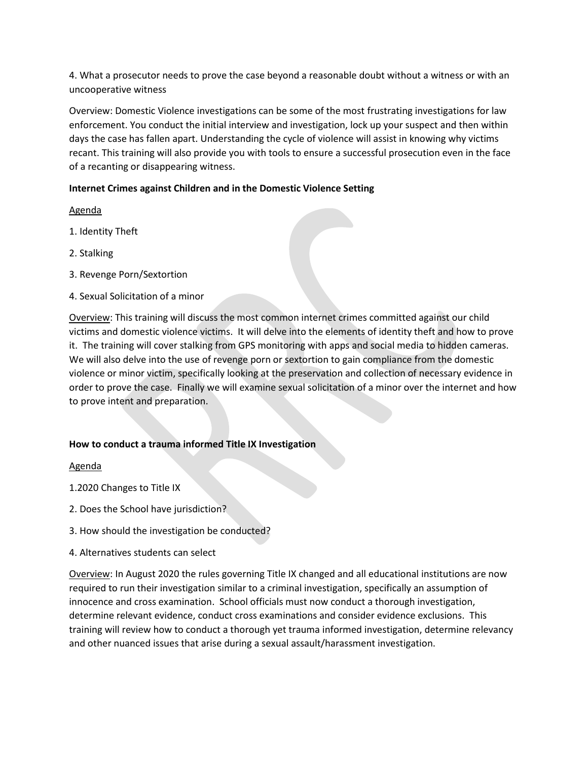4. What a prosecutor needs to prove the case beyond a reasonable doubt without a witness or with an uncooperative witness

Overview: Domestic Violence investigations can be some of the most frustrating investigations for law enforcement. You conduct the initial interview and investigation, lock up your suspect and then within days the case has fallen apart. Understanding the cycle of violence will assist in knowing why victims recant. This training will also provide you with tools to ensure a successful prosecution even in the face of a recanting or disappearing witness.

# **Internet Crimes against Children and in the Domestic Violence Setting**

### Agenda

- 1. Identity Theft
- 2. Stalking
- 3. Revenge Porn/Sextortion
- 4. Sexual Solicitation of a minor

Overview: This training will discuss the most common internet crimes committed against our child victims and domestic violence victims. It will delve into the elements of identity theft and how to prove it. The training will cover stalking from GPS monitoring with apps and social media to hidden cameras. We will also delve into the use of revenge porn or sextortion to gain compliance from the domestic violence or minor victim, specifically looking at the preservation and collection of necessary evidence in order to prove the case. Finally we will examine sexual solicitation of a minor over the internet and how to prove intent and preparation.

### **How to conduct a trauma informed Title IX Investigation**

### Agenda

- 1.2020 Changes to Title IX
- 2. Does the School have jurisdiction?
- 3. How should the investigation be conducted?
- 4. Alternatives students can select

Overview: In August 2020 the rules governing Title IX changed and all educational institutions are now required to run their investigation similar to a criminal investigation, specifically an assumption of innocence and cross examination. School officials must now conduct a thorough investigation, determine relevant evidence, conduct cross examinations and consider evidence exclusions. This training will review how to conduct a thorough yet trauma informed investigation, determine relevancy and other nuanced issues that arise during a sexual assault/harassment investigation.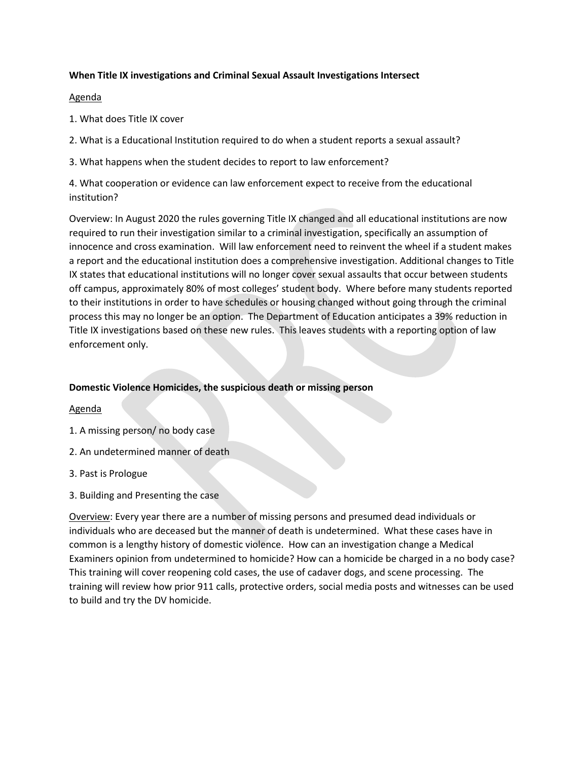### **When Title IX investigations and Criminal Sexual Assault Investigations Intersect**

### Agenda

- 1. What does Title IX cover
- 2. What is a Educational Institution required to do when a student reports a sexual assault?
- 3. What happens when the student decides to report to law enforcement?

4. What cooperation or evidence can law enforcement expect to receive from the educational institution?

Overview: In August 2020 the rules governing Title IX changed and all educational institutions are now required to run their investigation similar to a criminal investigation, specifically an assumption of innocence and cross examination. Will law enforcement need to reinvent the wheel if a student makes a report and the educational institution does a comprehensive investigation. Additional changes to Title IX states that educational institutions will no longer cover sexual assaults that occur between students off campus, approximately 80% of most colleges' student body. Where before many students reported to their institutions in order to have schedules or housing changed without going through the criminal process this may no longer be an option. The Department of Education anticipates a 39% reduction in Title IX investigations based on these new rules. This leaves students with a reporting option of law enforcement only.

# **Domestic Violence Homicides, the suspicious death or missing person**

### Agenda

- 1. A missing person/ no body case
- 2. An undetermined manner of death
- 3. Past is Prologue
- 3. Building and Presenting the case

Overview: Every year there are a number of missing persons and presumed dead individuals or individuals who are deceased but the manner of death is undetermined. What these cases have in common is a lengthy history of domestic violence. How can an investigation change a Medical Examiners opinion from undetermined to homicide? How can a homicide be charged in a no body case? This training will cover reopening cold cases, the use of cadaver dogs, and scene processing. The training will review how prior 911 calls, protective orders, social media posts and witnesses can be used to build and try the DV homicide.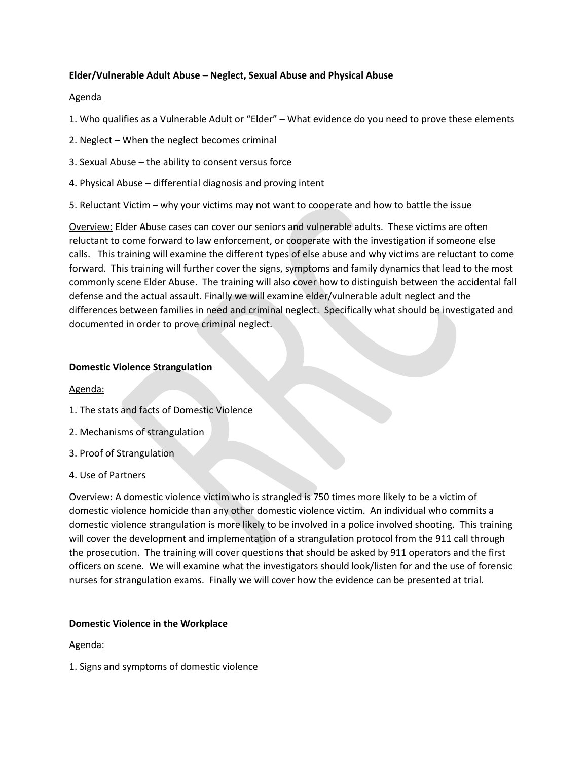### **Elder/Vulnerable Adult Abuse – Neglect, Sexual Abuse and Physical Abuse**

#### Agenda

- 1. Who qualifies as a Vulnerable Adult or "Elder" What evidence do you need to prove these elements
- 2. Neglect When the neglect becomes criminal
- 3. Sexual Abuse the ability to consent versus force
- 4. Physical Abuse differential diagnosis and proving intent
- 5. Reluctant Victim why your victims may not want to cooperate and how to battle the issue

Overview: Elder Abuse cases can cover our seniors and vulnerable adults. These victims are often reluctant to come forward to law enforcement, or cooperate with the investigation if someone else calls. This training will examine the different types of else abuse and why victims are reluctant to come forward. This training will further cover the signs, symptoms and family dynamics that lead to the most commonly scene Elder Abuse. The training will also cover how to distinguish between the accidental fall defense and the actual assault. Finally we will examine elder/vulnerable adult neglect and the differences between families in need and criminal neglect. Specifically what should be investigated and documented in order to prove criminal neglect.

#### **Domestic Violence Strangulation**

#### Agenda:

- 1. The stats and facts of Domestic Violence
- 2. Mechanisms of strangulation
- 3. Proof of Strangulation
- 4. Use of Partners

Overview: A domestic violence victim who is strangled is 750 times more likely to be a victim of domestic violence homicide than any other domestic violence victim. An individual who commits a domestic violence strangulation is more likely to be involved in a police involved shooting. This training will cover the development and implementation of a strangulation protocol from the 911 call through the prosecution. The training will cover questions that should be asked by 911 operators and the first officers on scene. We will examine what the investigators should look/listen for and the use of forensic nurses for strangulation exams. Finally we will cover how the evidence can be presented at trial.

#### **Domestic Violence in the Workplace**

#### Agenda:

1. Signs and symptoms of domestic violence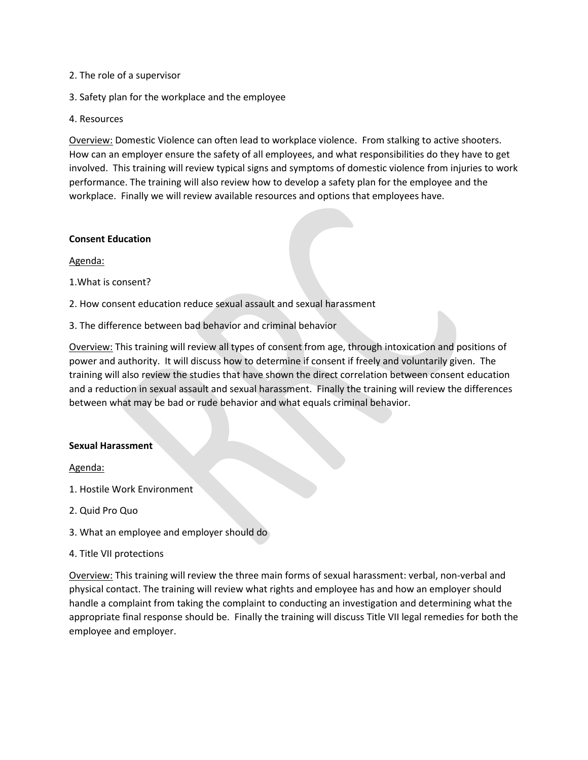- 2. The role of a supervisor
- 3. Safety plan for the workplace and the employee
- 4. Resources

Overview: Domestic Violence can often lead to workplace violence. From stalking to active shooters. How can an employer ensure the safety of all employees, and what responsibilities do they have to get involved. This training will review typical signs and symptoms of domestic violence from injuries to work performance. The training will also review how to develop a safety plan for the employee and the workplace. Finally we will review available resources and options that employees have.

#### **Consent Education**

Agenda:

- 1.What is consent?
- 2. How consent education reduce sexual assault and sexual harassment
- 3. The difference between bad behavior and criminal behavior

Overview: This training will review all types of consent from age, through intoxication and positions of power and authority. It will discuss how to determine if consent if freely and voluntarily given. The training will also review the studies that have shown the direct correlation between consent education and a reduction in sexual assault and sexual harassment. Finally the training will review the differences between what may be bad or rude behavior and what equals criminal behavior.

#### **Sexual Harassment**

#### Agenda:

- 1. Hostile Work Environment
- 2. Quid Pro Quo
- 3. What an employee and employer should do
- 4. Title VII protections

Overview: This training will review the three main forms of sexual harassment: verbal, non-verbal and physical contact. The training will review what rights and employee has and how an employer should handle a complaint from taking the complaint to conducting an investigation and determining what the appropriate final response should be. Finally the training will discuss Title VII legal remedies for both the employee and employer.